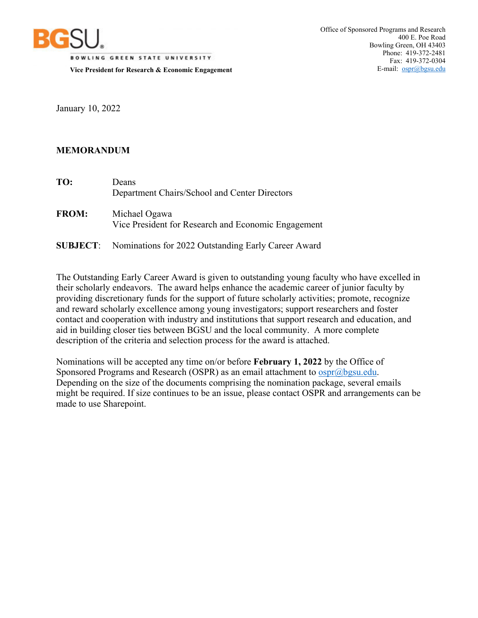

**BOWLING GREEN STATE UNIVERSITY** 

**Vice President for Research & Economic Engagement** 

January 10, 2022

## **MEMORANDUM**

| TO:          | Deans<br>Department Chairs/School and Center Directors               |
|--------------|----------------------------------------------------------------------|
| <b>FROM:</b> | Michael Ogawa<br>Vice President for Research and Economic Engagement |
|              |                                                                      |

**SUBJECT**: Nominations for 2022 Outstanding Early Career Award

The Outstanding Early Career Award is given to outstanding young faculty who have excelled in their scholarly endeavors. The award helps enhance the academic career of junior faculty by providing discretionary funds for the support of future scholarly activities; promote, recognize and reward scholarly excellence among young investigators; support researchers and foster contact and cooperation with industry and institutions that support research and education, and aid in building closer ties between BGSU and the local community. A more complete description of the criteria and selection process for the award is attached.

Nominations will be accepted any time on/or before **February 1, 2022** by the Office of Sponsored Programs and Research (OSPR) as an email attachment to  $ospr(\partial \log u$ . Depending on the size of the documents comprising the nomination package, several emails might be required. If size continues to be an issue, please contact OSPR and arrangements can be made to use Sharepoint.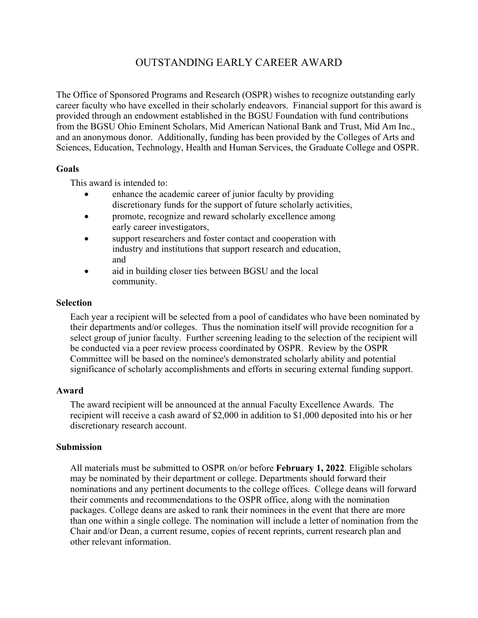# OUTSTANDING EARLY CAREER AWARD

The Office of Sponsored Programs and Research (OSPR) wishes to recognize outstanding early career faculty who have excelled in their scholarly endeavors. Financial support for this award is provided through an endowment established in the BGSU Foundation with fund contributions from the BGSU Ohio Eminent Scholars, Mid American National Bank and Trust, Mid Am Inc., and an anonymous donor. Additionally, funding has been provided by the Colleges of Arts and Sciences, Education, Technology, Health and Human Services, the Graduate College and OSPR.

### **Goals**

This award is intended to:

- enhance the academic career of junior faculty by providing discretionary funds for the support of future scholarly activities,
- promote, recognize and reward scholarly excellence among early career investigators,
- support researchers and foster contact and cooperation with industry and institutions that support research and education, and
- aid in building closer ties between BGSU and the local community.

#### **Selection**

Each year a recipient will be selected from a pool of candidates who have been nominated by their departments and/or colleges. Thus the nomination itself will provide recognition for a select group of junior faculty. Further screening leading to the selection of the recipient will be conducted via a peer review process coordinated by OSPR. Review by the OSPR Committee will be based on the nominee's demonstrated scholarly ability and potential significance of scholarly accomplishments and efforts in securing external funding support.

### **Award**

The award recipient will be announced at the annual Faculty Excellence Awards. The recipient will receive a cash award of \$2,000 in addition to \$1,000 deposited into his or her discretionary research account.

#### **Submission**

All materials must be submitted to OSPR on/or before **February 1, 2022**. Eligible scholars may be nominated by their department or college. Departments should forward their nominations and any pertinent documents to the college offices. College deans will forward their comments and recommendations to the OSPR office, along with the nomination packages. College deans are asked to rank their nominees in the event that there are more than one within a single college. The nomination will include a letter of nomination from the Chair and/or Dean, a current resume, copies of recent reprints, current research plan and other relevant information.